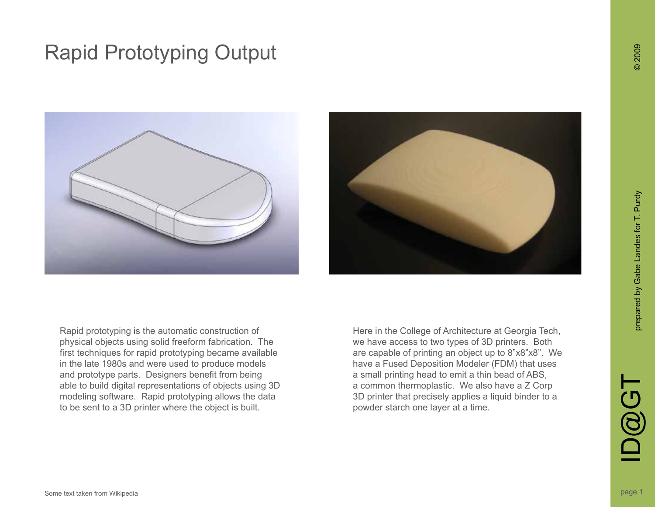



Rapid prototyping is the automatic construction of physical objects using solid freeform fabrication. The first techniques for rapid prototyping became available in the late 1980s and were used to produce models and prototype parts. Designers benefit from being able to build digital representations of objects using 3D modeling software. Rapid prototyping allows the data to be sent to a 3D printer where the object is built.

Here in the College of Architecture at Georgia Tech, we have access to two types of 3D printers. Both are capable of printing an object up to 8"x8"x8". We have a Fused Deposition Modeler (FDM) that uses a small printing head to emit a thin bead of ABS, a common thermoplastic. We also have a Z Corp 3D printer that precisely applies a liquid binder to a powder starch one layer at a time.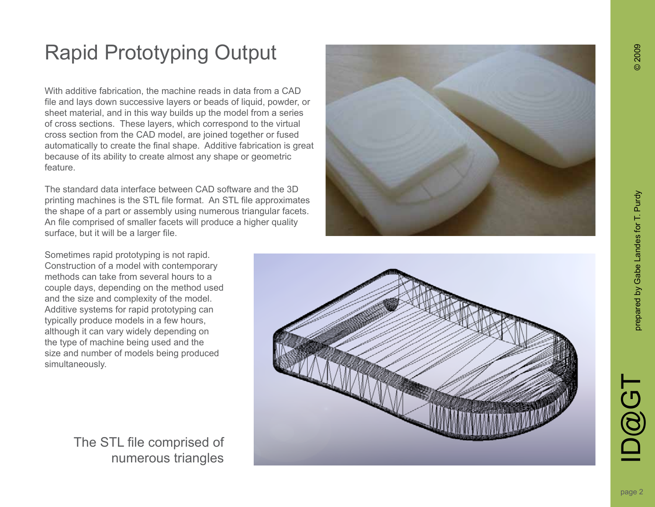With additive fabrication, the machine reads in data from a CAD file and lays down successive layers or beads of liquid, powder, or sheet material, and in this way builds up the model from a series of cross sections. These layers, which correspond to the virtual cross section from the CAD model, are joined together or fused automatically to create the final shape. Additive fabrication is great because of its ability to create almost any shape or geometric feature.

The standard data interface between CAD software and the 3D printing machines is the STL file format. An STL file approximates the shape of a part or assembly using numerous triangular facets. An file comprised of smaller facets will produce a higher quality surface, but it will be a larger file.

Sometimes rapid prototyping is not rapid. Construction of a model with contemporary methods can take from several hours to a couple days, depending on the method used and the size and complexity of the model. Additive systems for rapid prototyping can typically produce models in a few hours, although it can vary widely depending on the type of machine being used and the size and number of models being produced simultaneously.

> The STL file comprised of numerous triangles





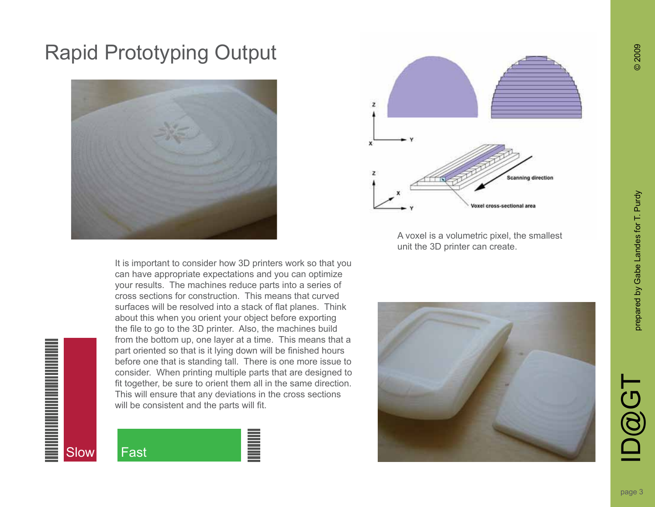



A voxel is a volumetric pixel, the smallest unit the 3D printer can create.

It is important to consider how 3D printers work so that you can have appropriate expectations and you can optimize your results. The machines reduce parts into a series of cross sections for construction. This means that curved surfaces will be resolved into a stack of flat planes. Think about this when you orient your object before exporting the file to go to the 3D printer. Also, the machines build from the bottom up, one layer at a time. This means that a part oriented so that is it lying down will be finished hours before one that is standing tall. There is one more issue to consider. When printing multiple parts that are designed to fit together, be sure to orient them all in the same direction. This will ensure that any deviations in the cross sections will be consistent and the parts will fit.





D@GT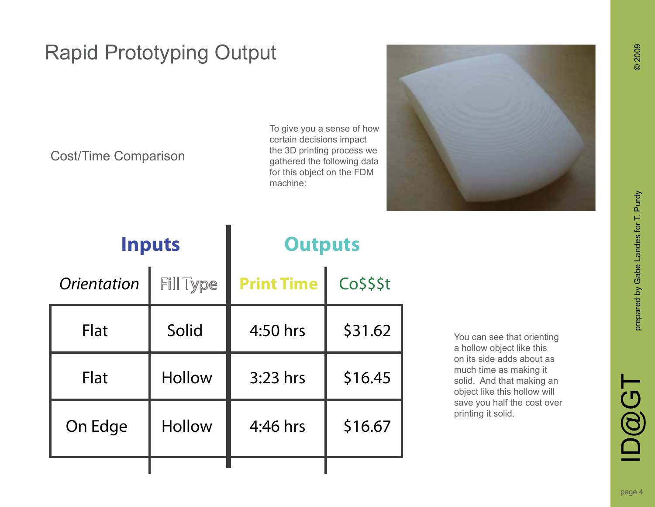#### Cost/Time Comparison

To give you a sense of how certain decisions impact the 3D printing process we gathered the following data for this object on the FDM machine:



| <b>Inputs</b>      |                  | <b>Outputs</b>    |           |
|--------------------|------------------|-------------------|-----------|
| <b>Orientation</b> | <b>Fill Type</b> | <b>Print Time</b> | Co\$\$\$t |
| <b>Flat</b>        | Solid            | 4:50 hrs          | \$31.62   |
| <b>Flat</b>        | <b>Hollow</b>    | $3:23$ hrs        | \$16.45   |
| On Edge            | <b>Hollow</b>    | $4:46$ hrs        | \$16.67   |
|                    |                  |                   |           |

You can see that orienting a hollow object like this on its side adds about as much time as making it solid. And that making an object like this hollow will save you half the cost over printing it solid.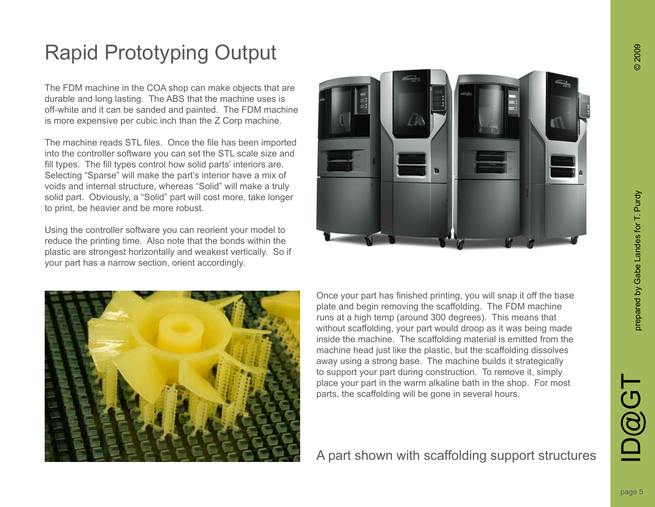The FDM machine in the COA shop can make objects that are durable and long lasting. The ABS that the machine uses is off-white and it can be sanded and painted. The FDM machine is more expensive per cubic inch than the Z Corp machine.

The machine reads STL files. Once the file has been imported into the controller software you can set the STL scale size and fill types. The fill types control how solid parts' interiors are. Selecting "Sparse" will make the part's interior have a mix of voids and internal structure, whereas "Solid" will make a truly solid part. Obviously, a "Solid" part will cost more, take longer to print, be heavier and be more robust.

Using the controller software you can reorient your model to reduce the printing time. Also note that the bonds within the plastic are strongest horizontally and weakest vertically. So if your part has a narrow section, orient accordingly.





Once your part has finished printing, you will snap it off the base plate and begin removing the scaffolding. The FDM machine runs at a high temp (around 300 degrees). This means that without scaffolding, your part would droop as it was being made inside the machine. The scaffolding material is emitted from the machine head just like the plastic, but the scaffolding dissolves away using a strong base. The machine builds it strategically to support your part during construction. To remove it, simply place your part in the warm alkaline bath in the shop. For most parts, the scaffolding will be gone in several hours.

A part shown with scaffolding support structures

D@GT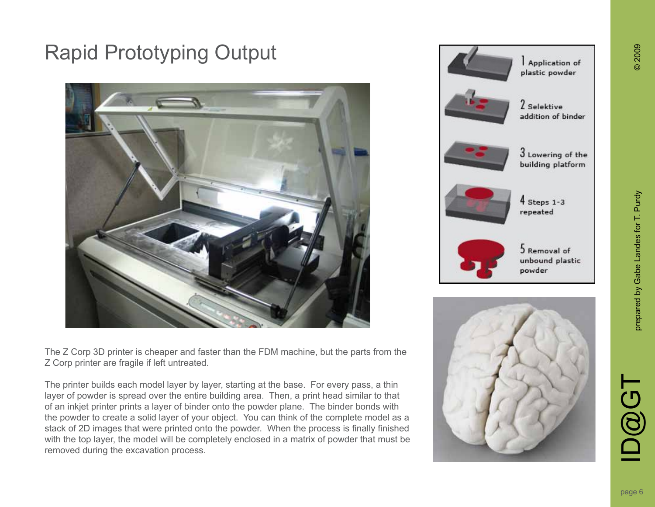

The Z Corp 3D printer is cheaper and faster than the FDM machine, but the parts from the Z Corp printer are fragile if left untreated.

The printer builds each model layer by layer, starting at the base. For every pass, a thin layer of powder is spread over the entire building area. Then, a print head similar to that of an inkjet printer prints a layer of binder onto the powder plane. The binder bonds with the powder to create a solid layer of your object. You can think of the complete model as a stack of 2D images that were printed onto the powder. When the process is finally finished with the top layer, the model will be completely enclosed in a matrix of powder that must be removed during the excavation process.





**ID@GT**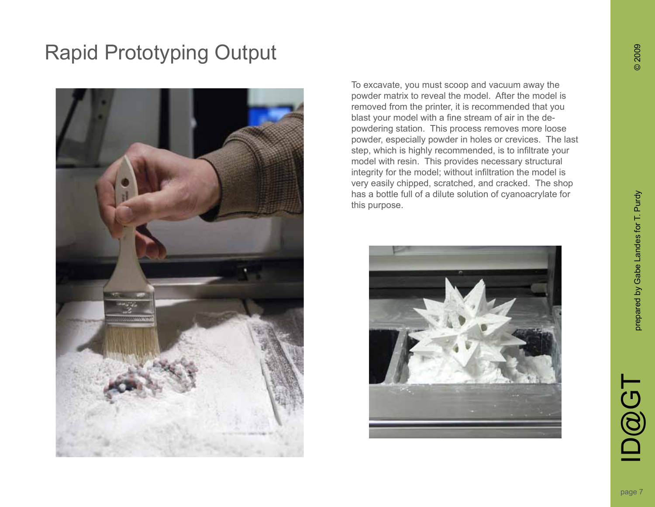

To excavate, you must scoop and vacuum away the powder matrix to reveal the model. After the model is removed from the printer, it is recommended that you blast your model with a fine stream of air in the depowdering station. This process removes more loose powder, especially powder in holes or crevices. The last step, which is highly recommended, is to infiltrate your model with resin. This provides necessary structural integrity for the model; without infiltration the model is very easily chipped, scratched, and cracked. The shop has a bottle full of a dilute solution of cyanoacrylate for this purpose.



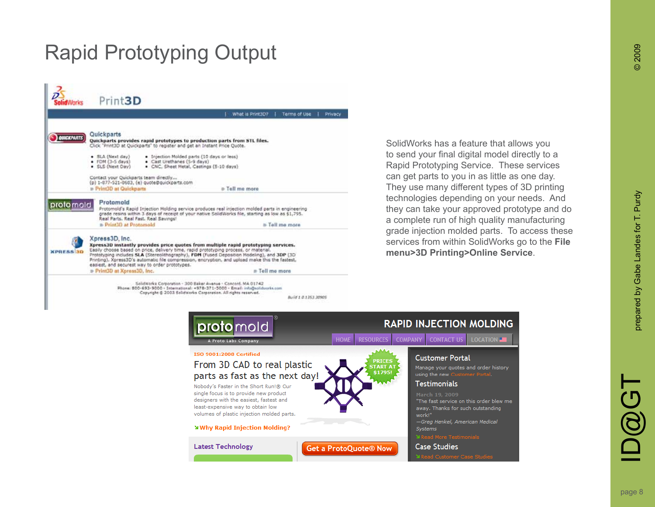|                  |                                                                                                                                                                                                                                                                                                                                                                                                                                                 | What is Print3D? | <b>Terms of Use</b><br>Privacy |
|------------------|-------------------------------------------------------------------------------------------------------------------------------------------------------------------------------------------------------------------------------------------------------------------------------------------------------------------------------------------------------------------------------------------------------------------------------------------------|------------------|--------------------------------|
|                  |                                                                                                                                                                                                                                                                                                                                                                                                                                                 |                  |                                |
| <b>UNCKPARTS</b> | Quickparts<br>Quickparts provides rapid prototypes to production parts from STL files.<br>Click "Print3D at Quickparts" to register and get an Instant Price Quote.                                                                                                                                                                                                                                                                             |                  |                                |
|                  | · SLA (Next day)<br>. Injection Molded parts (10 days or less)<br>· Cast Urethanes (5-9 days)<br>$\bullet$ FDM $(3-5$ days)<br>· SLS (Next Day)<br>. CNC. Sheet Metal, Castings (5-10 days)                                                                                                                                                                                                                                                     |                  |                                |
|                  | Contact your Quickparts team directly<br>(p) 1-877-521-8683, (e) quote@quickparts.com<br>Print3D at Quickparts                                                                                                                                                                                                                                                                                                                                  | a Tell me more   |                                |
| protomold        | Protomold<br>Protomold's Rapid Injection Molding service produces real injection molded parts in engineering<br>grade resins within 3 days of receipt of your native SolidWorks file, starting as low as \$1,795.<br>Real Parts, Real Fast, Real Savings!                                                                                                                                                                                       |                  |                                |
|                  | <b>B. Print30 at Protomold</b>                                                                                                                                                                                                                                                                                                                                                                                                                  |                  | Fell me more                   |
| <b>XPRESSION</b> | Xpress3D, Inc.<br>Xpress3D instantly provides price quotes from multiple rapid prototyping services.<br>Easily choose based on price, delivery time, rapid prototyping process, or material.<br>Prototyping includes SLA (Stereolithography), FDM (Fused Deposition Modeling), and 3DP (3D<br>Printing). Xpress3D's automatic file compression, encryption, and upload make this the fastest.<br>easiest, and securest way to order prototypes. |                  |                                |
|                  | <b>D</b> Print3D at Xpress3D, Inc.                                                                                                                                                                                                                                                                                                                                                                                                              |                  | = Tell me more                 |

SolidWorks has a feature that allows you to send your final digital model directly to a Rapid Prototyping Service. These services can get parts to you in as little as one day. They use many different types of 3D printing technologies depending on your needs. And they can take your approved prototype and do a complete run of high quality manufacturing grade injection molded parts. To access these services from within SolidWorks go to the **File menu>3D Printing>Online Service** .

| protomold<br>A Proto Labs Company                                                                                                                                    | <b>RAPID INJECTION MOLDING</b><br><b>CONTACT US</b><br>$LOGATION =$<br><b>RESOURCES</b><br><b>COMPANY</b><br><b>HOME</b>                                            |
|----------------------------------------------------------------------------------------------------------------------------------------------------------------------|---------------------------------------------------------------------------------------------------------------------------------------------------------------------|
| ISO 9001:2008 Certified<br>From 3D CAD to real plastic<br>parts as fast as the next day!<br>Nobody's Faster in the Short Run!® Our                                   | <b>Customer Portal</b><br><b>PRICES</b><br><b>START</b><br>Manage your quotes and order history<br>\$1795!<br>using the new Customer Portal.<br><b>Testimonials</b> |
| single focus is to provide new product<br>designers with the easiest, fastest and<br>least-expensive way to obtain low<br>volumes of plastic injection molded parts. | March 19, 2009<br>"The fast service on this order blew me<br>away. Thanks for such outstanding<br>work!"<br>-Greg Henkel, American Medical                          |
| <b>Why Rapid Injection Molding?</b><br><b>Latest Technology</b>                                                                                                      | Systems<br>Y Read More Testimonials<br><b>Case Studies</b><br><b>Get a ProtoQuote® Now</b>                                                                          |
|                                                                                                                                                                      | Y Read Customer Case Studies                                                                                                                                        |